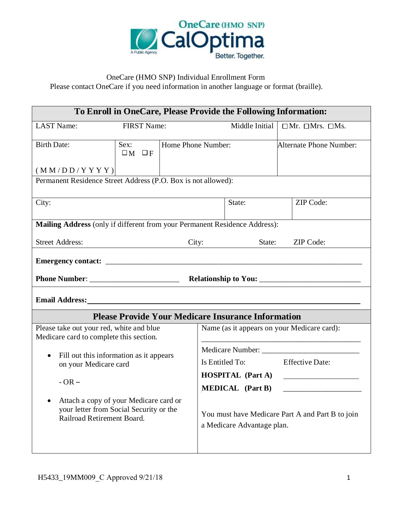

### OneCare (HMO SNP) Individual Enrollment Form

Please contact OneCare if you need information in another language or format (braille).

| To Enroll in OneCare, Please Provide the Following Information:                                                 |                               |                         |                                             |                                                           |  |                                                                                                   |  |
|-----------------------------------------------------------------------------------------------------------------|-------------------------------|-------------------------|---------------------------------------------|-----------------------------------------------------------|--|---------------------------------------------------------------------------------------------------|--|
| <b>LAST Name:</b>                                                                                               | <b>FIRST Name:</b>            |                         |                                             | Middle Initial                                            |  | $\Box$ Mr. $\Box$ Mrs. $\Box$ Ms.                                                                 |  |
| <b>Birth Date:</b>                                                                                              | Sex:<br>$\square_M \square_F$ |                         | Home Phone Number:                          |                                                           |  | Alternate Phone Number:                                                                           |  |
| (M M/D D/Y YY Y)                                                                                                |                               |                         |                                             |                                                           |  |                                                                                                   |  |
| Permanent Residence Street Address (P.O. Box is not allowed):                                                   |                               |                         |                                             |                                                           |  |                                                                                                   |  |
| City:                                                                                                           | State:                        |                         |                                             | <b>ZIP</b> Code:                                          |  |                                                                                                   |  |
| Mailing Address (only if different from your Permanent Residence Address):                                      |                               |                         |                                             |                                                           |  |                                                                                                   |  |
| <b>Street Address:</b>                                                                                          |                               |                         |                                             | State:<br>City:                                           |  | <b>ZIP</b> Code:                                                                                  |  |
|                                                                                                                 |                               |                         |                                             |                                                           |  |                                                                                                   |  |
|                                                                                                                 |                               |                         |                                             |                                                           |  |                                                                                                   |  |
|                                                                                                                 |                               |                         |                                             |                                                           |  |                                                                                                   |  |
|                                                                                                                 |                               |                         |                                             | <b>Please Provide Your Medicare Insurance Information</b> |  |                                                                                                   |  |
| Please take out your red, white and blue<br>Medicare card to complete this section.                             |                               |                         | Name (as it appears on your Medicare card): |                                                           |  |                                                                                                   |  |
|                                                                                                                 |                               |                         |                                             |                                                           |  |                                                                                                   |  |
| Fill out this information as it appears<br>$\bullet$<br>on your Medicare card                                   |                               |                         |                                             | Is Entitled To: Effective Date:                           |  |                                                                                                   |  |
|                                                                                                                 |                               |                         |                                             | <b>HOSPITAL</b> (Part A)                                  |  | $\mathcal{L}_{\text{max}}$ and $\mathcal{L}_{\text{max}}$ . The set of $\mathcal{L}_{\text{max}}$ |  |
| $-OR-$                                                                                                          |                               | <b>MEDICAL</b> (Part B) |                                             |                                                           |  |                                                                                                   |  |
| Attach a copy of your Medicare card or<br>your letter from Social Security or the<br>Railroad Retirement Board. |                               |                         |                                             | a Medicare Advantage plan.                                |  | You must have Medicare Part A and Part B to join                                                  |  |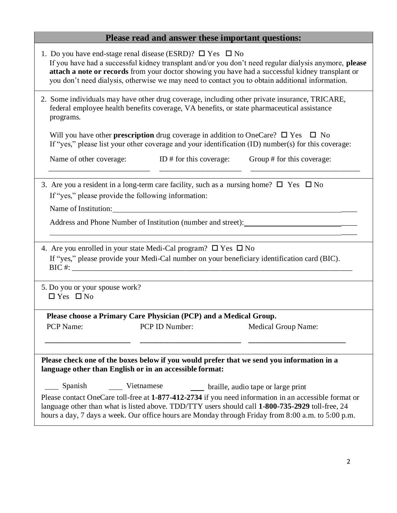# **Please read and answer these important questions:**

| 1. Do you have end-stage renal disease (ESRD)? $\Box$ Yes $\Box$ No<br>If you have had a successful kidney transplant and/or you don't need regular dialysis anymore, please<br>attach a note or records from your doctor showing you have had a successful kidney transplant or<br>you don't need dialysis, otherwise we may need to contact you to obtain additional information. |  |  |  |  |  |  |  |
|-------------------------------------------------------------------------------------------------------------------------------------------------------------------------------------------------------------------------------------------------------------------------------------------------------------------------------------------------------------------------------------|--|--|--|--|--|--|--|
| 2. Some individuals may have other drug coverage, including other private insurance, TRICARE,<br>federal employee health benefits coverage, VA benefits, or state pharmaceutical assistance<br>programs.                                                                                                                                                                            |  |  |  |  |  |  |  |
| Will you have other <b>prescription</b> drug coverage in addition to OneCare? $\square$ Yes $\square$ No<br>If "yes," please list your other coverage and your identification (ID) number(s) for this coverage:                                                                                                                                                                     |  |  |  |  |  |  |  |
| Name of other coverage: ID # for this coverage:<br>Group # for this coverage:                                                                                                                                                                                                                                                                                                       |  |  |  |  |  |  |  |
| 3. Are you a resident in a long-term care facility, such as a nursing home? $\square$ Yes $\square$ No<br>If "yes," please provide the following information:<br>Address and Phone Number of Institution (number and street):                                                                                                                                                       |  |  |  |  |  |  |  |
| 4. Are you enrolled in your state Medi-Cal program? $\square$ Yes $\square$ No<br>If "yes," please provide your Medi-Cal number on your beneficiary identification card (BIC).                                                                                                                                                                                                      |  |  |  |  |  |  |  |
| 5. Do you or your spouse work?<br>$\Box$ Yes $\Box$ No                                                                                                                                                                                                                                                                                                                              |  |  |  |  |  |  |  |
| Please choose a Primary Care Physician (PCP) and a Medical Group.                                                                                                                                                                                                                                                                                                                   |  |  |  |  |  |  |  |
| PCP Name:<br>PCP ID Number:<br><b>Medical Group Name:</b>                                                                                                                                                                                                                                                                                                                           |  |  |  |  |  |  |  |
| Please check one of the boxes below if you would prefer that we send you information in a<br>language other than English or in an accessible format:                                                                                                                                                                                                                                |  |  |  |  |  |  |  |
| Spanish<br>Vietnamese<br>braille, audio tape or large print                                                                                                                                                                                                                                                                                                                         |  |  |  |  |  |  |  |
| Please contact OneCare toll-free at 1-877-412-2734 if you need information in an accessible format or<br>language other than what is listed above. TDD/TTY users should call 1-800-735-2929 toll-free, 24<br>hours a day, 7 days a week. Our office hours are Monday through Friday from 8:00 a.m. to 5:00 p.m.                                                                     |  |  |  |  |  |  |  |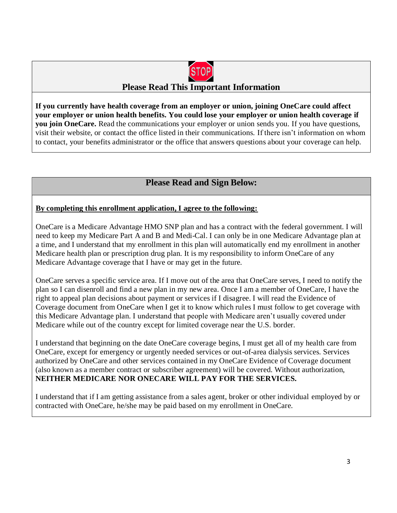

## **Please Read This Important Information**

**If you currently have health coverage from an employer or union, joining OneCare could affect your employer or union health benefits. You could lose your employer or union health coverage if you join OneCare.** Read the communications your employer or union sends you. If you have questions, visit their website, or contact the office listed in their communications. If there isn't information on whom to contact, your benefits administrator or the office that answers questions about your coverage can help.

## **Please Read and Sign Below:**

#### **By completing this enrollment application, I agree to the following:**

OneCare is a Medicare Advantage HMO SNP plan and has a contract with the federal government. I will need to keep my Medicare Part A and B and Medi-Cal. I can only be in one Medicare Advantage plan at a time, and I understand that my enrollment in this plan will automatically end my enrollment in another Medicare health plan or prescription drug plan. It is my responsibility to inform OneCare of any Medicare Advantage coverage that I have or may get in the future.

OneCare serves a specific service area. If I move out of the area that OneCare serves, I need to notify the plan so I can disenroll and find a new plan in my new area. Once I am a member of OneCare, I have the right to appeal plan decisions about payment or services if I disagree. I will read the Evidence of Coverage document from OneCare when I get it to know which rules I must follow to get coverage with this Medicare Advantage plan. I understand that people with Medicare aren't usually covered under Medicare while out of the country except for limited coverage near the U.S. border.

I understand that beginning on the date OneCare coverage begins, I must get all of my health care from OneCare, except for emergency or urgently needed services or out-of-area dialysis services. Services authorized by OneCare and other services contained in my OneCare Evidence of Coverage document (also known as a member contract or subscriber agreement) will be covered. Without authorization, **NEITHER MEDICARE NOR ONECARE WILL PAY FOR THE SERVICES.**

I understand that if I am getting assistance from a sales agent, broker or other individual employed by or contracted with OneCare, he/she may be paid based on my enrollment in OneCare.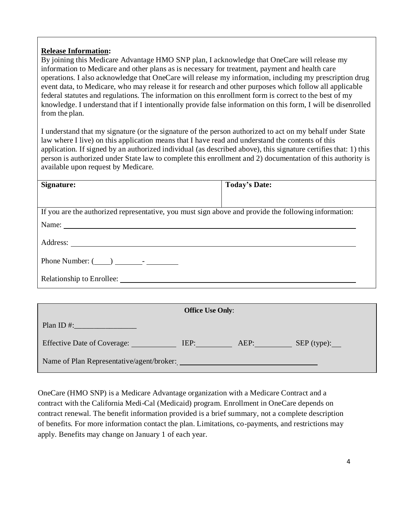#### **Release Information:**

By joining this Medicare Advantage HMO SNP plan, I acknowledge that OneCare will release my information to Medicare and other plans as is necessary for treatment, payment and health care operations. I also acknowledge that OneCare will release my information, including my prescription drug event data, to Medicare, who may release it for research and other purposes which follow all applicable federal statutes and regulations. The information on this enrollment form is correct to the best of my knowledge. I understand that if I intentionally provide false information on this form, I will be disenrolled from the plan.

I understand that my signature (or the signature of the person authorized to act on my behalf under State law where I live) on this application means that I have read and understand the contents of this application. If signed by an authorized individual (as described above), this signature certifies that: 1) this person is authorized under State law to complete this enrollment and 2) documentation of this authority is available upon request by Medicare.

| Signature:                                                                                           | <b>Today's Date:</b> |  |  |  |  |
|------------------------------------------------------------------------------------------------------|----------------------|--|--|--|--|
|                                                                                                      |                      |  |  |  |  |
| If you are the authorized representative, you must sign above and provide the following information: |                      |  |  |  |  |
|                                                                                                      |                      |  |  |  |  |
|                                                                                                      |                      |  |  |  |  |
|                                                                                                      |                      |  |  |  |  |
| Relationship to Enrollee:                                                                            |                      |  |  |  |  |
|                                                                                                      |                      |  |  |  |  |

| <b>Office Use Only:</b>                   |      |      |                        |  |  |  |
|-------------------------------------------|------|------|------------------------|--|--|--|
| Plan ID $#$ :                             |      |      |                        |  |  |  |
| <b>Effective Date of Coverage:</b>        | IEP: | AEP: | $SEP$ (type): $\qquad$ |  |  |  |
| Name of Plan Representative/agent/broker: |      |      |                        |  |  |  |

OneCare (HMO SNP) is a Medicare Advantage organization with a Medicare Contract and a contract with the California Medi-Cal (Medicaid) program. Enrollment in OneCare depends on contract renewal. The benefit information provided is a brief summary, not a complete description of benefits. For more information contact the plan. Limitations, co-payments, and restrictions may apply. Benefits may change on January 1 of each year.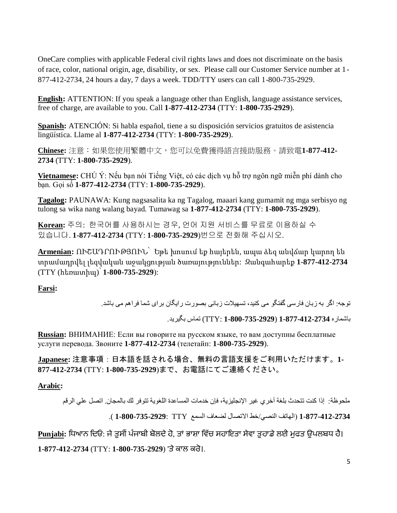OneCare complies with applicable Federal civil rights laws and does not discriminate on the basis of race, color, national origin, age, disability, or sex. Please call our Customer Service number at 1- 877-412-2734, 24 hours a day, 7 days a week. TDD/TTY users can call 1-800-735-2929.

**English:** ATTENTION: If you speak a language other than English, language assistance services, free of charge, are available to you. Call **1-877-412-2734** (TTY: **1-800-735-2929**).

**Spanish:** ATENCIÓN: Si habla español, tiene a su disposición servicios gratuitos de asistencia lingüística. Llame al **1-877-412-2734** (TTY: **1-800-735-2929**).

**Chinese:** 注意:如果您使用繁體中文,您可以免費獲得語言援助服務。請致電**1-877-412- 2734** (TTY: **1-800-735-2929**).

**Vietnamese:** CHÚ Ý: Nếu bạn nói Tiếng Việt, có các dịch vụ hỗ trợ ngôn ngữ miễn phí dành cho bạn. Gọi số **1-877-412-2734** (TTY: **1-800-735-2929**).

**Tagalog:** PAUNAWA: Kung nagsasalita ka ng Tagalog, maaari kang gumamit ng mga serbisyo ng tulong sa wika nang walang bayad. Tumawag sa **1-877-412-2734** (TTY: **1-800-735-2929**).

**Korean:** 주의: 한국어를 사용하시는 경우, 언어 지원 서비스를 무료로 이용하실 수 있습니다. **1-877-412-2734** (TTY: **1-800-735-2929**)번으로 전화해 주십시오.

**Armenian:** ՈՒՇԱԴՐՈՒԹՅՈՒՆ՝ Եթե խոսում եք հայերեն, ապա ձեզ անվճար կարող են տրամադրվել լեզվական աջակցության ծառայություններ: Զանգահարեք **1-877-412-2734** (TTY (հեռատիպ)՝ **1-800-735-2929**):

**Farsi:**

توجه: اگر به زبان فارسی گفتگو می کنید، تسهیالت زبانی بصورت رایگان برای شما فراهم می باشد.

باشماره **1-877-412-2734** (**1-800-735-2929** :TTY (تماس بگیرید.

**Russian:** ВНИМАНИЕ: Если вы говорите на русском языке, то вам доступны бесплатные услуги перевода. Звоните **1-877-412-2734** (телетайп: **1-800-735-2929**).

**Japanese:** 注意事項:日本語を話される場合、無料の言語支援をご利用いただけます。**1- 877-412-2734** (TTY: **1-800-735-2929**)まで、お電話にてご連絡ください。

**Arabic:** 

ملحوظة: إذا كنت تتحدث بلغة أخري غیر اإلنجلیزیة، فإن خدمات المساعدة اللغویة تتوفر لك بالمجان. اتصل علي الرقم **1-877-412-2734** )الهاتف النصي/خط االتصال لضعاف السمع TTY **1-800-735-2929**:( .

<u>Punjabi</u>: ਧਿਆਨ ਦਿਓ: ਜੇ ਤੁਸੀਂ ਪੰਜਾਬੀ ਬੋਲਦੇ ਹੋ, ਤਾਂ ਭਾਸ਼ਾ ਵਿੱਚ ਸਹਾਇਤਾ ਸੇਵਾ ਤੁਹਾਡੇ ਲਈ ਮੁਫਤ ਉਪਲਬਧ ਹੈ। **1-877-412-2734** (TTY: **1-800-735-2929**) 'ਤੇਕਾਲ ਕਰੋ।.